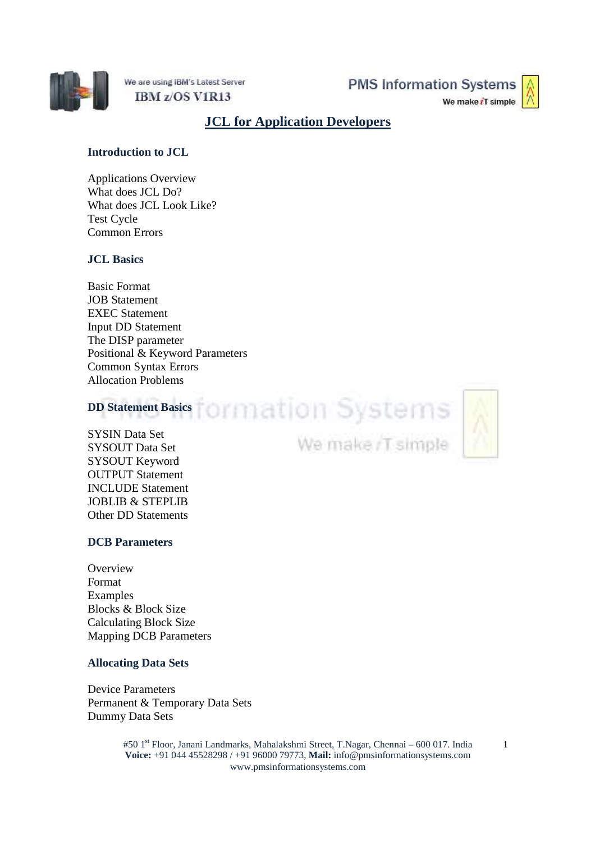

We are using IBM's Latest Server IBM z/OS V1R13

**PMS Information Systems** 



# **JCL for Application Developers**

# **Introduction to JCL**

Applications Overview What does JCL Do? What does JCL Look Like? Test Cycle Common Errors

# **JCL Basics**

Basic Format JOB Statement EXEC Statement Input DD Statement The DISP parameter Positional & Keyword Parameters Common Syntax Errors Allocation Problems

# **DD Statement Basics** CIMMATION Systems

SYSIN Data Set SYSOUT Data Set SYSOUT Keyword OUTPUT Statement INCLUDE Statement JOBLIB & STEPLIB Other DD Statements

# **DCB Parameters**

**Overview** Format Examples Blocks & Block Size Calculating Block Size Mapping DCB Parameters

#### **Allocating Data Sets**

Device Parameters Permanent & Temporary Data Sets Dummy Data Sets

> #50 1<sup>st</sup> Floor, Janani Landmarks, Mahalakshmi Street, T.Nagar, Chennai – 600 017. India **Voice:** +91 044 45528298 / +91 96000 79773, **Mail:** info@pmsinformationsystems.com www.pmsinformationsystems.com

We make /T simple

1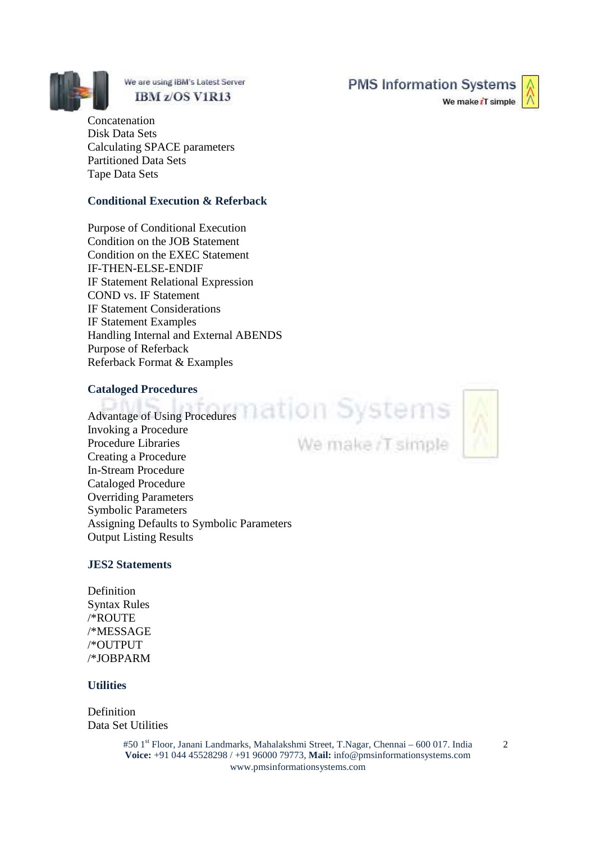

We are using IBM's Latest Server IBM z/OS V1R13

**Concatenation** Disk Data Sets Calculating SPACE parameters Partitioned Data Sets Tape Data Sets

#### **Conditional Execution & Referback**

Purpose of Conditional Execution Condition on the JOB Statement Condition on the EXEC Statement IF-THEN-ELSE-ENDIF IF Statement Relational Expression COND vs. IF Statement IF Statement Considerations IF Statement Examples Handling Internal and External ABENDS Purpose of Referback Referback Format & Examples

#### **Cataloged Procedures**

Advantage of Using Procedures and a compact of the compact of the compact of USI  $\sim$ Invoking a Procedure Procedure Libraries Creating a Procedure In-Stream Procedure Cataloged Procedure Overriding Parameters Symbolic Parameters Assigning Defaults to Symbolic Parameters Output Listing Results

# **JES2 Statements**

Definition Syntax Rules /\*ROUTE /\*MESSAGE /\*OUTPUT /\*JOBPARM

#### **Utilities**

Definition Data Set Utilities

> #50 1<sup>st</sup> Floor, Janani Landmarks, Mahalakshmi Street, T.Nagar, Chennai – 600 017. India **Voice:** +91 044 45528298 / +91 96000 79773, **Mail:** info@pmsinformationsystems.com www.pmsinformationsystems.com

**PMS Information Systems** 

We make iT simple



We make /T simple